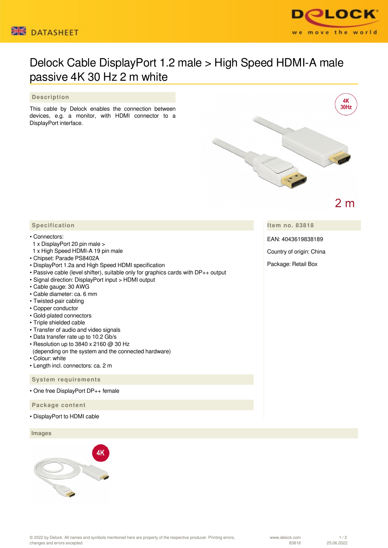



## Delock Cable DisplayPort 1.2 male > High Speed HDMI-A male passive 4K 30 Hz 2 m white

## **Description**

This cable by Delock enables the connection between devices, e.g. a monitor, with HDMI connector to a DisplayPort interface.



 **Specification**

## • Connectors:

- 1 x DisplayPort 20 pin male >
- 1 x High Speed HDMI-A 19 pin male
- Chipset: Parade PS8402A
- DisplayPort 1.2a and High Speed HDMI specification
- Passive cable (level shifter), suitable only for graphics cards with DP++ output
- Signal direction: DisplayPort input > HDMI output
- Cable gauge: 30 AWG
- Cable diameter: ca. 6 mm
- Twisted-pair cabling
- Copper conductor
- Gold-plated connectors
- Triple shielded cable
- Transfer of audio and video signals
- Data transfer rate up to 10.2 Gb/s
- Resolution up to 3840 x 2160 @ 30 Hz
- (depending on the system and the connected hardware)
- Colour: white
- Length incl. connectors: ca. 2 m

 **System requirements**

• One free DisplayPort DP++ female

 **Package content**

• DisplayPort to HDMI cable

## **Images**



**Item no. 83818**

EAN: 4043619838189

Country of origin: China

Package: Retail Box